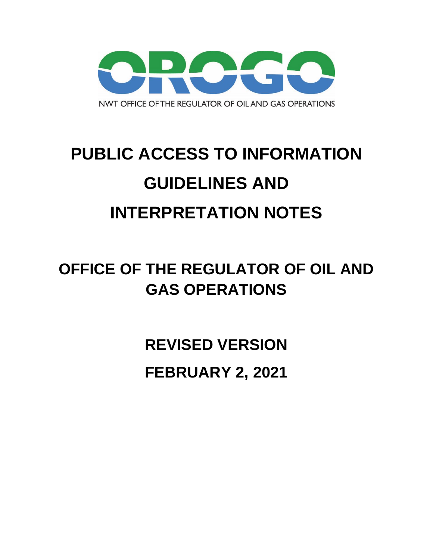

# **PUBLIC ACCESS TO INFORMATION GUIDELINES AND INTERPRETATION NOTES**

## **OFFICE OF THE REGULATOR OF OIL AND GAS OPERATIONS**

**REVISED VERSION FEBRUARY 2, 2021**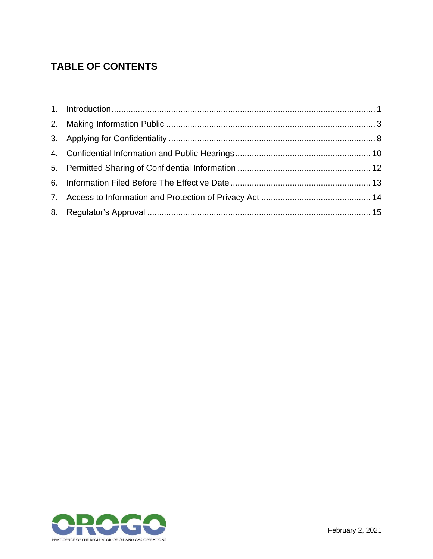## **TABLE OF CONTENTS**

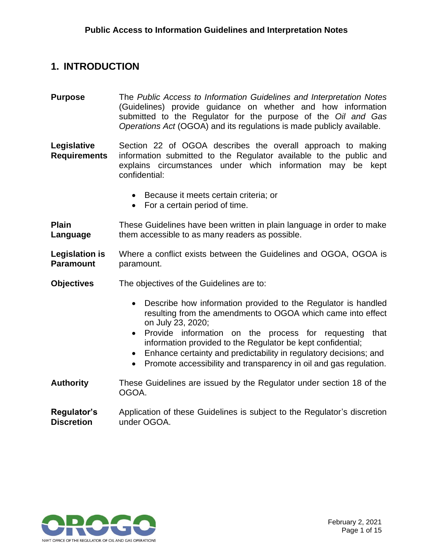#### <span id="page-2-0"></span>**1. INTRODUCTION**

**Purpose** The *Public Access to Information Guidelines and Interpretation Notes* (Guidelines) provide guidance on whether and how information submitted to the Regulator for the purpose of the *Oil and Gas Operations Act* (OGOA) and its regulations is made publicly available.

**Legislative Requirements** Section 22 of OGOA describes the overall approach to making information submitted to the Regulator available to the public and explains circumstances under which information may be kept confidential:

- Because it meets certain criteria; or
- For a certain period of time.

**Plain Language** These Guidelines have been written in plain language in order to make them accessible to as many readers as possible.

**Legislation is Paramount** Where a conflict exists between the Guidelines and OGOA, OGOA is paramount.

- **Objectives** The objectives of the Guidelines are to:
	- Describe how information provided to the Regulator is handled resulting from the amendments to OGOA which came into effect on July 23, 2020;
	- Provide information on the process for requesting that information provided to the Regulator be kept confidential;
	- Enhance certainty and predictability in regulatory decisions; and
	- Promote accessibility and transparency in oil and gas regulation.
- **Authority** These Guidelines are issued by the Regulator under section 18 of the OGOA.

#### **Regulator's Discretion** Application of these Guidelines is subject to the Regulator's discretion under OGOA.

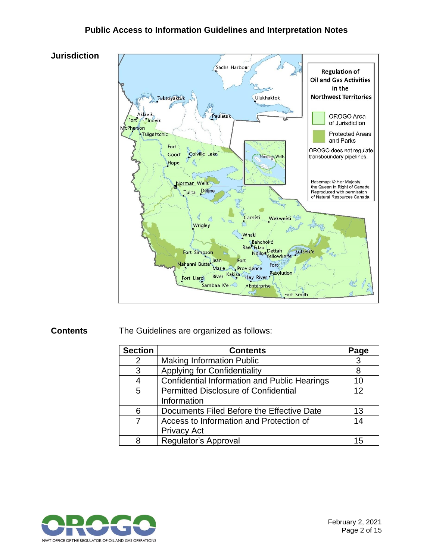#### **Public Access to Information Guidelines and Interpretation Notes**



**Contents** The Guidelines are organized as follows:

| <b>Section</b> | <b>Contents</b>                                     | Page |
|----------------|-----------------------------------------------------|------|
| 2              | <b>Making Information Public</b>                    |      |
| 3              | <b>Applying for Confidentiality</b>                 | 8    |
|                | <b>Confidential Information and Public Hearings</b> | 10   |
| 5              | <b>Permitted Disclosure of Confidential</b>         | 12   |
|                | Information                                         |      |
| 6              | Documents Filed Before the Effective Date           | 13   |
|                | Access to Information and Protection of             | 14   |
|                | <b>Privacy Act</b>                                  |      |
| 8              | Regulator's Approval                                | 15   |

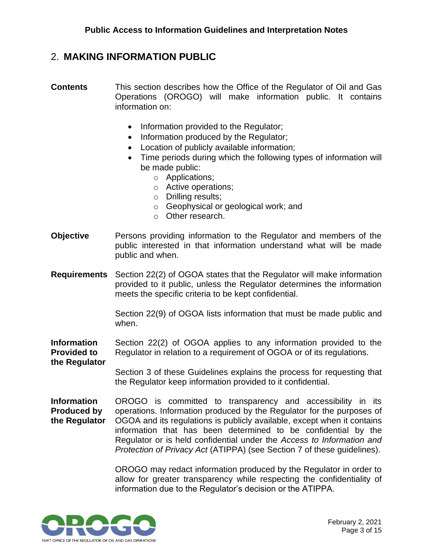#### <span id="page-4-0"></span>2. **MAKING INFORMATION PUBLIC**

- **Contents** This section describes how the Office of the Regulator of Oil and Gas Operations (OROGO) will make information public. It contains information on:
	- Information provided to the Regulator;
	- Information produced by the Regulator;
	- Location of publicly available information;
	- Time periods during which the following types of information will be made public:
		- o Applications;
		- o Active operations;
		- o Drilling results;
		- o Geophysical or geological work; and
		- o Other research.
- **Objective** Persons providing information to the Regulator and members of the public interested in that information understand what will be made public and when.
- **Requirements** Section 22(2) of OGOA states that the Regulator will make information provided to it public, unless the Regulator determines the information meets the specific criteria to be kept confidential.

Section 22(9) of OGOA lists information that must be made public and when.

**Information Provided to**  Section 22(2) of OGOA applies to any information provided to the Regulator in relation to a requirement of OGOA or of its regulations.

Section 3 of these Guidelines explains the process for requesting that the Regulator keep information provided to it confidential.

**Information Produced by the Regulator** OROGO is committed to transparency and accessibility in its operations. Information produced by the Regulator for the purposes of OGOA and its regulations is publicly available, except when it contains information that has been determined to be confidential by the Regulator or is held confidential under the *Access to Information and Protection of Privacy Act* (ATIPPA) (see Section 7 of these guidelines).

> OROGO may redact information produced by the Regulator in order to allow for greater transparency while respecting the confidentiality of information due to the Regulator's decision or the ATIPPA.



**the Regulator**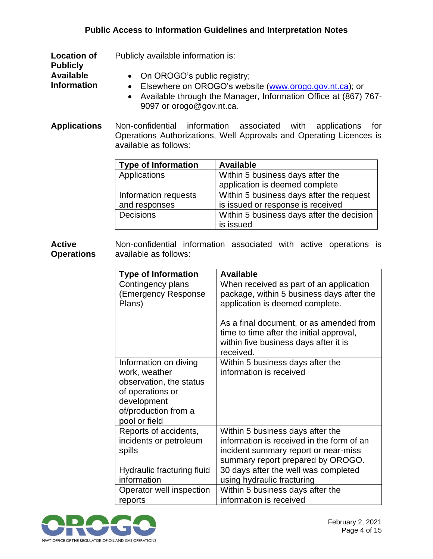#### **Public Access to Information Guidelines and Interpretation Notes**

**Location of**  Publicly available information is:

**Publicly Available** 

**Information**

- On OROGO's public registry;
	- Elsewhere on OROGO's website [\(www.orogo.gov.nt.ca\)](http://www.orogo.gov.nt.ca/); or
		- Available through the Manager, Information Office at (867) 767- 9097 or orogo@gov.nt.ca.
- **Applications** Non-confidential information associated with applications for Operations Authorizations, Well Approvals and Operating Licences is available as follows:

| <b>Type of Information</b> | <b>Available</b>                          |
|----------------------------|-------------------------------------------|
| Applications               | Within 5 business days after the          |
|                            | application is deemed complete            |
| Information requests       | Within 5 business days after the request  |
| and responses              | is issued or response is received         |
| Decisions                  | Within 5 business days after the decision |
|                            | is issued                                 |

**Active Operations** Non-confidential information associated with active operations is available as follows:

| <b>Type of Information</b>                                                                                                                    | <b>Available</b>                                                                                                                                           |
|-----------------------------------------------------------------------------------------------------------------------------------------------|------------------------------------------------------------------------------------------------------------------------------------------------------------|
| Contingency plans<br>(Emergency Response)<br>Plans)                                                                                           | When received as part of an application<br>package, within 5 business days after the<br>application is deemed complete.                                    |
|                                                                                                                                               | As a final document, or as amended from<br>time to time after the initial approval,<br>within five business days after it is<br>received.                  |
| Information on diving<br>work, weather<br>observation, the status<br>of operations or<br>development<br>of/production from a<br>pool or field | Within 5 business days after the<br>information is received                                                                                                |
| Reports of accidents,<br>incidents or petroleum<br>spills                                                                                     | Within 5 business days after the<br>information is received in the form of an<br>incident summary report or near-miss<br>summary report prepared by OROGO. |
| Hydraulic fracturing fluid<br>information                                                                                                     | 30 days after the well was completed<br>using hydraulic fracturing                                                                                         |
| Operator well inspection<br>reports                                                                                                           | Within 5 business days after the<br>information is received                                                                                                |

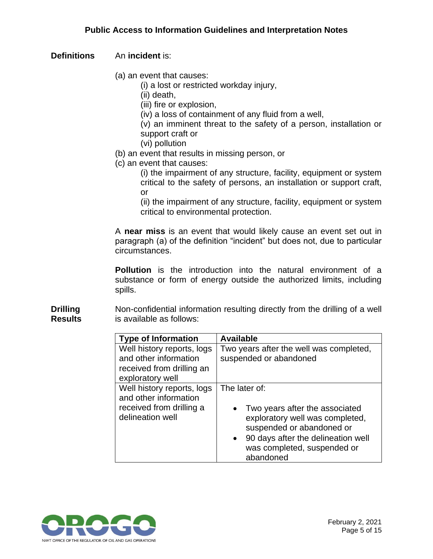#### **Definitions** An **incident** is:

(a) an event that causes:

(i) a lost or restricted workday injury,

(ii) death,

(iii) fire or explosion,

(iv) a loss of containment of any fluid from a well,

(v) an imminent threat to the safety of a person, installation or support craft or

- (vi) pollution
- (b) an event that results in missing person, or
- (c) an event that causes:

(i) the impairment of any structure, facility, equipment or system critical to the safety of persons, an installation or support craft, or

(ii) the impairment of any structure, facility, equipment or system critical to environmental protection.

A **near miss** is an event that would likely cause an event set out in paragraph (a) of the definition "incident" but does not, due to particular circumstances.

**Pollution** is the introduction into the natural environment of a substance or form of energy outside the authorized limits, including spills.

**Drilling Results** Non-confidential information resulting directly from the drilling of a well is available as follows:

| <b>Type of Information</b>                                                                           | <b>Available</b>                                                                                                                                                                                                 |
|------------------------------------------------------------------------------------------------------|------------------------------------------------------------------------------------------------------------------------------------------------------------------------------------------------------------------|
| Well history reports, logs<br>and other information<br>received from drilling an<br>exploratory well | Two years after the well was completed,<br>suspended or abandoned                                                                                                                                                |
| Well history reports, logs<br>and other information<br>received from drilling a<br>delineation well  | The later of:<br>• Two years after the associated<br>exploratory well was completed,<br>suspended or abandoned or<br>90 days after the delineation well<br>$\bullet$<br>was completed, suspended or<br>abandoned |

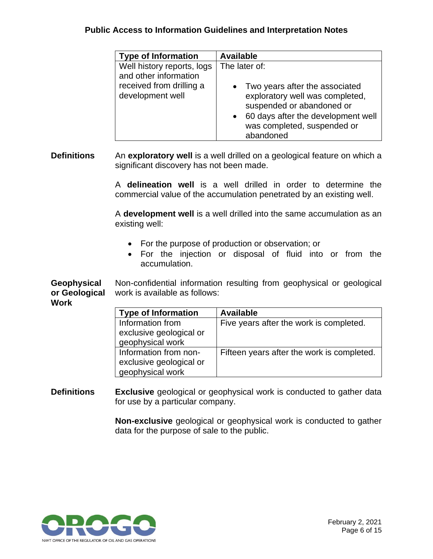#### **Public Access to Information Guidelines and Interpretation Notes**

| <b>Type of Information</b>                                                      | <b>Available</b>                                                               |
|---------------------------------------------------------------------------------|--------------------------------------------------------------------------------|
| Well history reports, logs<br>and other information<br>received from drilling a | The later of:<br>• Two years after the associated                              |
| development well                                                                | exploratory well was completed,<br>suspended or abandoned or                   |
|                                                                                 | 60 days after the development well<br>was completed, suspended or<br>abandoned |

**Definitions** An **exploratory well** is a well drilled on a geological feature on which a significant discovery has not been made.

> A **delineation well** is a well drilled in order to determine the commercial value of the accumulation penetrated by an existing well.

> A **development well** is a well drilled into the same accumulation as an existing well:

- For the purpose of production or observation; or
- For the injection or disposal of fluid into or from the accumulation.

**Geophysical or Geological**  Non-confidential information resulting from geophysical or geological work is available as follows:

| w<br>۰. |  |
|---------|--|
|---------|--|

| <b>Type of Information</b> | <b>Available</b>                           |
|----------------------------|--------------------------------------------|
| Information from           | Five years after the work is completed.    |
| exclusive geological or    |                                            |
| geophysical work           |                                            |
| Information from non-      | Fifteen years after the work is completed. |
| exclusive geological or    |                                            |
| geophysical work           |                                            |

**Definitions Exclusive** geological or geophysical work is conducted to gather data for use by a particular company.

> **Non-exclusive** geological or geophysical work is conducted to gather data for the purpose of sale to the public.

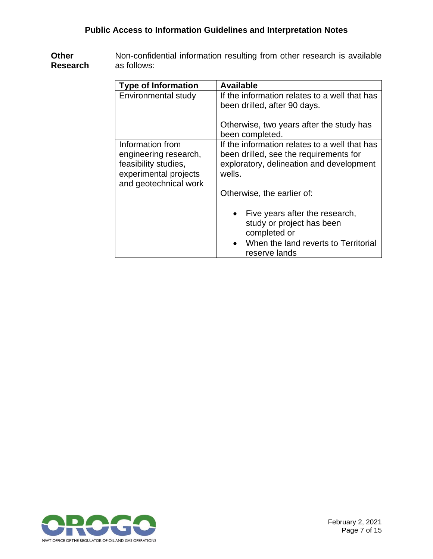**Other Research** Non-confidential information resulting from other research is available as follows:

| <b>Type of Information</b>                                                                                          | <b>Available</b>                                                                                                                                                            |
|---------------------------------------------------------------------------------------------------------------------|-----------------------------------------------------------------------------------------------------------------------------------------------------------------------------|
| Environmental study                                                                                                 | If the information relates to a well that has<br>been drilled, after 90 days.<br>Otherwise, two years after the study has<br>been completed.                                |
| Information from<br>engineering research,<br>feasibility studies,<br>experimental projects<br>and geotechnical work | If the information relates to a well that has<br>been drilled, see the requirements for<br>exploratory, delineation and development<br>wells.<br>Otherwise, the earlier of: |
|                                                                                                                     | Five years after the research,<br>$\bullet$<br>study or project has been<br>completed or<br>When the land reverts to Territorial<br>reserve lands                           |

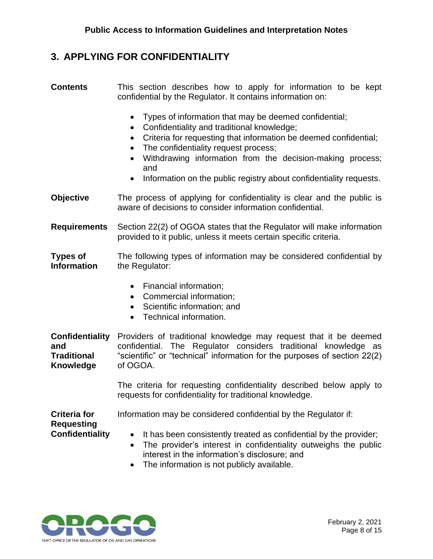### <span id="page-9-0"></span>**3. APPLYING FOR CONFIDENTIALITY**

| <b>Contents</b>                                                         | This section describes how to apply for information to be kept<br>confidential by the Regulator. It contains information on:                                                                                                                                                                                                                                                                     |  |
|-------------------------------------------------------------------------|--------------------------------------------------------------------------------------------------------------------------------------------------------------------------------------------------------------------------------------------------------------------------------------------------------------------------------------------------------------------------------------------------|--|
|                                                                         | Types of information that may be deemed confidential;<br>$\bullet$<br>Confidentiality and traditional knowledge;<br>$\bullet$<br>Criteria for requesting that information be deemed confidential;<br>$\bullet$<br>The confidentiality request process;<br>Withdrawing information from the decision-making process;<br>and<br>Information on the public registry about confidentiality requests. |  |
| <b>Objective</b>                                                        | The process of applying for confidentiality is clear and the public is<br>aware of decisions to consider information confidential.                                                                                                                                                                                                                                                               |  |
| <b>Requirements</b>                                                     | Section 22(2) of OGOA states that the Regulator will make information<br>provided to it public, unless it meets certain specific criteria.                                                                                                                                                                                                                                                       |  |
| <b>Types of</b><br><b>Information</b>                                   | The following types of information may be considered confidential by<br>the Regulator:                                                                                                                                                                                                                                                                                                           |  |
|                                                                         | Financial information;<br>$\bullet$<br>Commercial information;<br>$\bullet$<br>Scientific information; and<br>Technical information.<br>$\bullet$                                                                                                                                                                                                                                                |  |
| <b>Confidentiality</b><br>and<br><b>Traditional</b><br><b>Knowledge</b> | Providers of traditional knowledge may request that it be deemed<br>confidential. The Regulator considers traditional knowledge as<br>"scientific" or "technical" information for the purposes of section 22(2)<br>of OGOA.                                                                                                                                                                      |  |
|                                                                         | The criteria for requesting confidentiality described below apply to<br>requests for confidentiality for traditional knowledge.                                                                                                                                                                                                                                                                  |  |
| <b>Criteria for</b><br><b>Requesting</b>                                | Information may be considered confidential by the Regulator if:                                                                                                                                                                                                                                                                                                                                  |  |
| <b>Confidentiality</b>                                                  | It has been consistently treated as confidential by the provider;<br>$\bullet$<br>The provider's interest in confidentiality outweighs the public<br>$\bullet$<br>interest in the information's disclosure; and                                                                                                                                                                                  |  |

• The information is not publicly available.

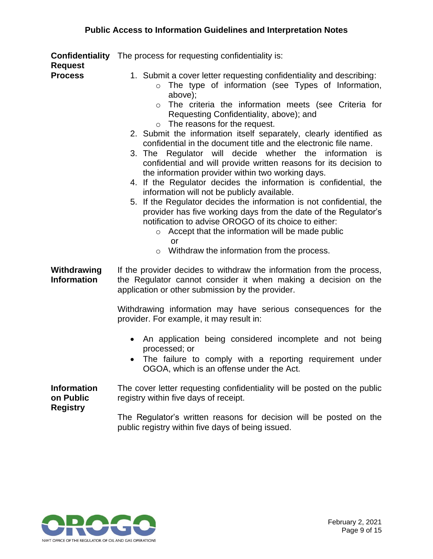| <b>Request</b>                                     | <b>Confidentiality</b> The process for requesting confidentiality is:                                                                                                                                                                                                                                                                                                                                                                                                                                                                                                                                                                                                                                                                                                                                                                                                                                                                                                                                                                                                         |
|----------------------------------------------------|-------------------------------------------------------------------------------------------------------------------------------------------------------------------------------------------------------------------------------------------------------------------------------------------------------------------------------------------------------------------------------------------------------------------------------------------------------------------------------------------------------------------------------------------------------------------------------------------------------------------------------------------------------------------------------------------------------------------------------------------------------------------------------------------------------------------------------------------------------------------------------------------------------------------------------------------------------------------------------------------------------------------------------------------------------------------------------|
| <b>Process</b>                                     | 1. Submit a cover letter requesting confidentiality and describing:<br>The type of information (see Types of Information,<br>$\circ$<br>above);<br>The criteria the information meets (see Criteria for<br>$\circ$<br>Requesting Confidentiality, above); and<br>$\circ$ The reasons for the request.<br>2. Submit the information itself separately, clearly identified as<br>confidential in the document title and the electronic file name.<br>3. The Regulator will decide whether the information is<br>confidential and will provide written reasons for its decision to<br>the information provider within two working days.<br>4. If the Regulator decides the information is confidential, the<br>information will not be publicly available.<br>5. If the Regulator decides the information is not confidential, the<br>provider has five working days from the date of the Regulator's<br>notification to advise OROGO of its choice to either:<br>Accept that the information will be made public<br>$\circ$<br>or<br>Withdraw the information from the process. |
| Withdrawing<br><b>Information</b>                  | If the provider decides to withdraw the information from the process,<br>the Regulator cannot consider it when making a decision on the<br>application or other submission by the provider.<br>Withdrawing information may have serious consequences for the<br>provider. For example, it may result in:<br>An application being considered incomplete and not being<br>processed; or<br>The failure to comply with a reporting requirement under<br>OGOA, which is an offense under the Act.                                                                                                                                                                                                                                                                                                                                                                                                                                                                                                                                                                                 |
| <b>Information</b><br>on Public<br><b>Registry</b> | The cover letter requesting confidentiality will be posted on the public<br>registry within five days of receipt.<br>The Regulator's written reasons for decision will be posted on the<br>public registry within five days of being issued.                                                                                                                                                                                                                                                                                                                                                                                                                                                                                                                                                                                                                                                                                                                                                                                                                                  |

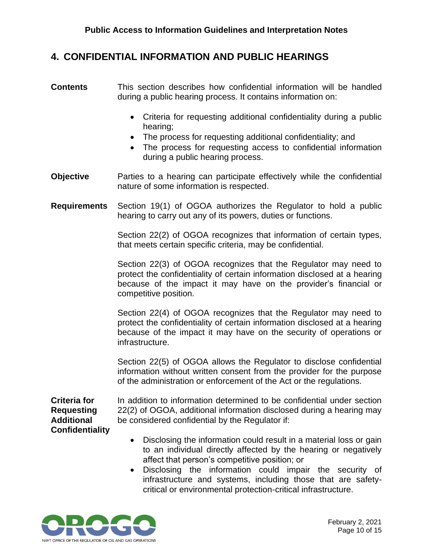#### <span id="page-11-0"></span>**4. CONFIDENTIAL INFORMATION AND PUBLIC HEARINGS**

- **Contents** This section describes how confidential information will be handled during a public hearing process. It contains information on:
	- Criteria for requesting additional confidentiality during a public hearing;
	- The process for requesting additional confidentiality; and
	- The process for requesting access to confidential information during a public hearing process.
- **Objective** Parties to a hearing can participate effectively while the confidential nature of some information is respected.
- **Requirements** Section 19(1) of OGOA authorizes the Regulator to hold a public hearing to carry out any of its powers, duties or functions.

Section 22(2) of OGOA recognizes that information of certain types, that meets certain specific criteria, may be confidential.

Section 22(3) of OGOA recognizes that the Regulator may need to protect the confidentiality of certain information disclosed at a hearing because of the impact it may have on the provider's financial or competitive position.

Section 22(4) of OGOA recognizes that the Regulator may need to protect the confidentiality of certain information disclosed at a hearing because of the impact it may have on the security of operations or infrastructure.

Section 22(5) of OGOA allows the Regulator to disclose confidential information without written consent from the provider for the purpose of the administration or enforcement of the Act or the regulations.

**Criteria for Requesting Additional Confidentiality** In addition to information determined to be confidential under section 22(2) of OGOA, additional information disclosed during a hearing may be considered confidential by the Regulator if:

- Disclosing the information could result in a material loss or gain to an individual directly affected by the hearing or negatively affect that person's competitive position; or
- Disclosing the information could impair the security of infrastructure and systems, including those that are safetycritical or environmental protection-critical infrastructure.

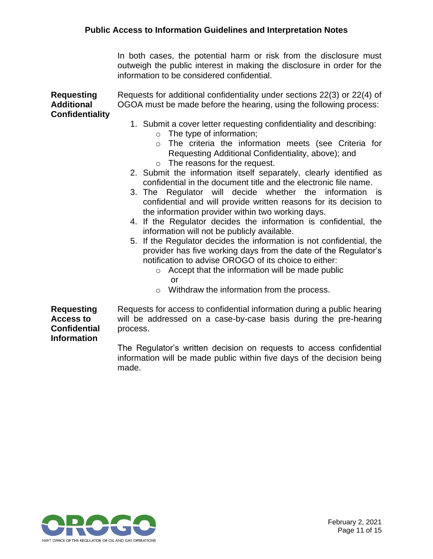In both cases, the potential harm or risk from the disclosure must outweigh the public interest in making the disclosure in order for the information to be considered confidential.

**Requesting Additional Confidentiality**  Requests for additional confidentiality under sections 22(3) or 22(4) of OGOA must be made before the hearing, using the following process: 1. Submit a cover letter requesting confidentiality and describing: o The type of information; o The criteria the information meets (see Criteria for Requesting Additional Confidentiality, above); and o The reasons for the request. 2. Submit the information itself separately, clearly identified as confidential in the document title and the electronic file name. 3. The Regulator will decide whether the information is confidential and will provide written reasons for its decision to the information provider within two working days. 4. If the Regulator decides the information is confidential, the information will not be publicly available. 5. If the Regulator decides the information is not confidential, the provider has five working days from the date of the Regulator's notification to advise OROGO of its choice to either:  $\circ$  Accept that the information will be made public or o Withdraw the information from the process. **Requesting Access to Confidential Information** Requests for access to confidential information during a public hearing will be addressed on a case-by-case basis during the pre-hearing process. The Regulator's written decision on requests to access confidential

information will be made public within five days of the decision being made.

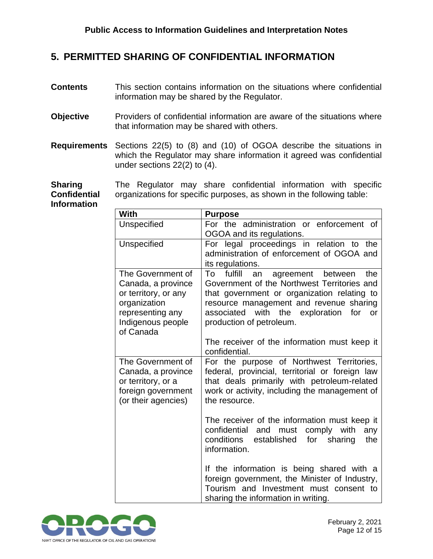#### <span id="page-13-0"></span>**5. PERMITTED SHARING OF CONFIDENTIAL INFORMATION**

- **Contents** This section contains information on the situations where confidential information may be shared by the Regulator.
- **Objective** Providers of confidential information are aware of the situations where that information may be shared with others.
- **Requirements** Sections 22(5) to (8) and (10) of OGOA describe the situations in which the Regulator may share information it agreed was confidential under sections 22(2) to (4).

**Sharing Confidential Information** The Regulator may share confidential information with specific organizations for specific purposes, as shown in the following table:

| With                                                                                                                                  | <b>Purpose</b>                                                                                                                                                                                                                                                                                                                       |
|---------------------------------------------------------------------------------------------------------------------------------------|--------------------------------------------------------------------------------------------------------------------------------------------------------------------------------------------------------------------------------------------------------------------------------------------------------------------------------------|
| Unspecified                                                                                                                           | For the administration or enforcement of<br>OGOA and its regulations.                                                                                                                                                                                                                                                                |
| Unspecified                                                                                                                           | For legal proceedings in relation to the<br>administration of enforcement of OGOA and<br>its regulations.                                                                                                                                                                                                                            |
| The Government of<br>Canada, a province<br>or territory, or any<br>organization<br>representing any<br>Indigenous people<br>of Canada | fulfill<br>To<br>agreement between<br>the<br>an<br>Government of the Northwest Territories and<br>that government or organization relating to<br>resource management and revenue sharing<br>with<br>the<br>exploration<br>associated<br>for<br><b>or</b><br>production of petroleum.<br>The receiver of the information must keep it |
| The Government of<br>Canada, a province<br>or territory, or a<br>foreign government<br>(or their agencies)                            | confidential.<br>For the purpose of Northwest Territories,<br>federal, provincial, territorial or foreign law<br>that deals primarily with petroleum-related<br>work or activity, including the management of<br>the resource.                                                                                                       |
|                                                                                                                                       | The receiver of the information must keep it<br>and<br>must<br>comply<br>with<br>confidential<br>any<br>conditions<br>established<br>for<br>sharing<br>the<br>information.                                                                                                                                                           |
|                                                                                                                                       | If the information is being shared with a<br>foreign government, the Minister of Industry,<br>Tourism and Investment must consent to<br>sharing the information in writing.                                                                                                                                                          |

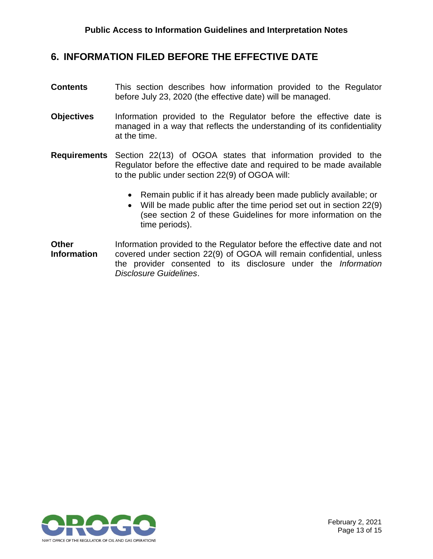#### <span id="page-14-0"></span>**6. INFORMATION FILED BEFORE THE EFFECTIVE DATE**

- **Contents** This section describes how information provided to the Regulator before July 23, 2020 (the effective date) will be managed.
- **Objectives** Information provided to the Regulator before the effective date is managed in a way that reflects the understanding of its confidentiality at the time.
- **Requirements** Section 22(13) of OGOA states that information provided to the Regulator before the effective date and required to be made available to the public under section 22(9) of OGOA will:
	- Remain public if it has already been made publicly available; or
	- Will be made public after the time period set out in section 22(9) (see section 2 of these Guidelines for more information on the time periods).
- **Other Information** Information provided to the Regulator before the effective date and not covered under section 22(9) of OGOA will remain confidential, unless the provider consented to its disclosure under the *Information Disclosure Guidelines*.

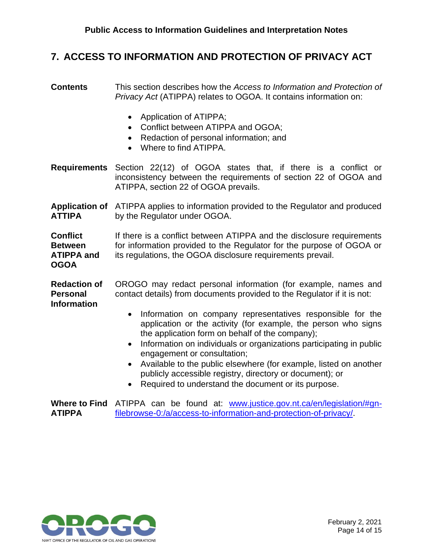#### <span id="page-15-0"></span>**7. ACCESS TO INFORMATION AND PROTECTION OF PRIVACY ACT**

**Contents** This section describes how the *Access to Information and Protection of Privacy Act* (ATIPPA) relates to OGOA. It contains information on: • Application of ATIPPA; • Conflict between ATIPPA and OGOA; • Redaction of personal information; and • Where to find ATIPPA. **Requirements** Section 22(12) of OGOA states that, if there is a conflict or inconsistency between the requirements of section 22 of OGOA and ATIPPA, section 22 of OGOA prevails. Application of ATIPPA applies to information provided to the Regulator and produced **ATTIPA** by the Regulator under OGOA. **Conflict Between ATIPPA and OGOA** If there is a conflict between ATIPPA and the disclosure requirements for information provided to the Regulator for the purpose of OGOA or its regulations, the OGOA disclosure requirements prevail. **Redaction of Personal Information** OROGO may redact personal information (for example, names and contact details) from documents provided to the Regulator if it is not: • Information on company representatives responsible for the application or the activity (for example, the person who signs the application form on behalf of the company); • Information on individuals or organizations participating in public engagement or consultation; • Available to the public elsewhere (for example, listed on another publicly accessible registry, directory or document); or • Required to understand the document or its purpose.

Where to Find ATIPPA can be found at: [www.justice.gov.nt.ca/en/legislation/#gn-](http://www.justice.gov.nt.ca/en/legislation/#gn-filebrowse-0:/a/access-to-information-and-protection-of-privacy/)**ATIPPA** [filebrowse-0:/a/access-to-information-and-protection-of-privacy/.](http://www.justice.gov.nt.ca/en/legislation/#gn-filebrowse-0:/a/access-to-information-and-protection-of-privacy/)